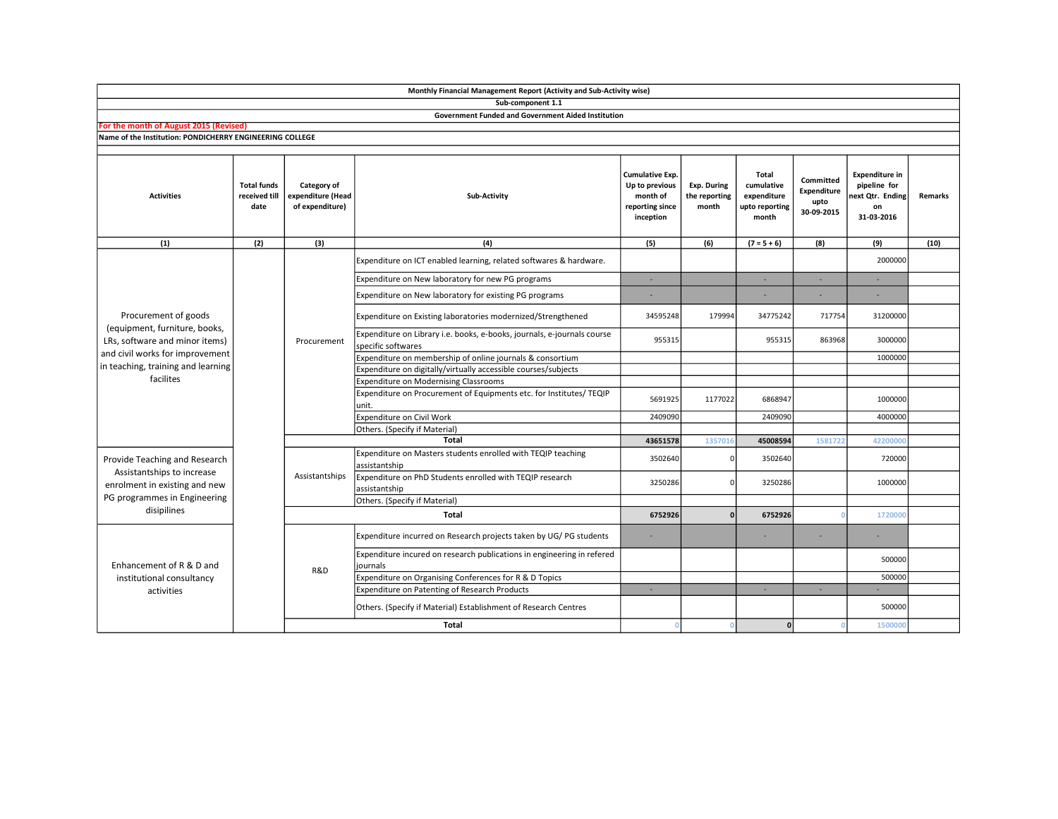|                                                                                                                                                                               |                                             |                                                     | Sub-component 1.1                                                                             |                                                                                      |                                              |                                                               |                                                |                                                                               |                |
|-------------------------------------------------------------------------------------------------------------------------------------------------------------------------------|---------------------------------------------|-----------------------------------------------------|-----------------------------------------------------------------------------------------------|--------------------------------------------------------------------------------------|----------------------------------------------|---------------------------------------------------------------|------------------------------------------------|-------------------------------------------------------------------------------|----------------|
|                                                                                                                                                                               |                                             |                                                     | <b>Government Funded and Government Aided Institution</b>                                     |                                                                                      |                                              |                                                               |                                                |                                                                               |                |
| For the month of August 2015 (Revised)                                                                                                                                        |                                             |                                                     |                                                                                               |                                                                                      |                                              |                                                               |                                                |                                                                               |                |
| Name of the Institution: PONDICHERRY ENGINEERING COLLEGE                                                                                                                      |                                             |                                                     |                                                                                               |                                                                                      |                                              |                                                               |                                                |                                                                               |                |
|                                                                                                                                                                               |                                             |                                                     |                                                                                               |                                                                                      |                                              |                                                               |                                                |                                                                               |                |
| <b>Activities</b>                                                                                                                                                             | <b>Total funds</b><br>received till<br>date | Category of<br>expenditure (Head<br>of expenditure) | Sub-Activity                                                                                  | <b>Cumulative Exp.</b><br>Up to previous<br>month of<br>reporting since<br>inception | <b>Exp. During</b><br>the reporting<br>month | Total<br>cumulative<br>expenditure<br>upto reporting<br>month | Committed<br>Expenditure<br>upto<br>30-09-2015 | <b>Expenditure in</b><br>pipeline for<br>next Otr. Ending<br>on<br>31-03-2016 | <b>Remarks</b> |
| (1)                                                                                                                                                                           | (2)                                         | (3)                                                 | (4)                                                                                           | (5)                                                                                  | (6)                                          | $(7 = 5 + 6)$                                                 | (8)                                            | (9)                                                                           | (10)           |
| Procurement of goods<br>(equipment, furniture, books,<br>LRs, software and minor items)<br>and civil works for improvement<br>in teaching, training and learning<br>facilites |                                             | Procurement                                         | Expenditure on ICT enabled learning, related softwares & hardware.                            |                                                                                      |                                              |                                                               |                                                | 2000000                                                                       |                |
|                                                                                                                                                                               |                                             |                                                     | Expenditure on New laboratory for new PG programs                                             | ٠                                                                                    |                                              | $\sim$                                                        | ×.                                             | ٠                                                                             |                |
|                                                                                                                                                                               |                                             |                                                     | Expenditure on New laboratory for existing PG programs                                        |                                                                                      |                                              |                                                               |                                                | ×                                                                             |                |
|                                                                                                                                                                               |                                             |                                                     | Expenditure on Existing laboratories modernized/Strengthened                                  | 34595248                                                                             | 179994                                       | 34775242                                                      | 717754                                         | 31200000                                                                      |                |
|                                                                                                                                                                               |                                             |                                                     | Expenditure on Library i.e. books, e-books, journals, e-journals course<br>specific softwares | 955315                                                                               |                                              | 955315                                                        | 863968                                         | 3000000                                                                       |                |
|                                                                                                                                                                               |                                             |                                                     | Expenditure on membership of online journals & consortium                                     |                                                                                      |                                              |                                                               |                                                | 1000000                                                                       |                |
|                                                                                                                                                                               |                                             |                                                     | Expenditure on digitally/virtually accessible courses/subjects                                |                                                                                      |                                              |                                                               |                                                |                                                                               |                |
|                                                                                                                                                                               |                                             |                                                     | <b>Expenditure on Modernising Classrooms</b>                                                  |                                                                                      |                                              |                                                               |                                                |                                                                               |                |
|                                                                                                                                                                               |                                             |                                                     | Expenditure on Procurement of Equipments etc. for Institutes/ TEQIP<br>unit.                  | 5691925                                                                              | 1177022                                      | 6868947                                                       |                                                | 1000000                                                                       |                |
|                                                                                                                                                                               |                                             |                                                     | Expenditure on Civil Work                                                                     | 2409090                                                                              |                                              | 2409090                                                       |                                                | 4000000                                                                       |                |
|                                                                                                                                                                               |                                             |                                                     | Others. (Specify if Material)                                                                 |                                                                                      |                                              |                                                               |                                                |                                                                               |                |
|                                                                                                                                                                               |                                             |                                                     | Total                                                                                         | 43651578                                                                             | 135701                                       | 45008594                                                      | 1581722                                        | 42200000                                                                      |                |
| Provide Teaching and Research<br>Assistantships to increase<br>enrolment in existing and new<br>PG programmes in Engineering<br>disipilines                                   |                                             | Assistantships                                      | Expenditure on Masters students enrolled with TEQIP teaching<br>assistantship                 | 3502640                                                                              | $\Omega$                                     | 3502640                                                       |                                                | 720000                                                                        |                |
|                                                                                                                                                                               |                                             |                                                     | Expenditure on PhD Students enrolled with TEQIP research<br>assistantship                     | 3250286                                                                              | n                                            | 3250286                                                       |                                                | 1000000                                                                       |                |
|                                                                                                                                                                               |                                             |                                                     | Others. (Specify if Material)                                                                 |                                                                                      |                                              |                                                               |                                                |                                                                               |                |
|                                                                                                                                                                               |                                             | <b>Total</b>                                        |                                                                                               | 6752926                                                                              |                                              | 6752926                                                       |                                                | 1720000                                                                       |                |
| Enhancement of R & D and<br>institutional consultancy<br>activities                                                                                                           |                                             | R&D                                                 | Expenditure incurred on Research projects taken by UG/ PG students                            | ٠                                                                                    |                                              |                                                               | ٠                                              | ٠                                                                             |                |
|                                                                                                                                                                               |                                             |                                                     | Expenditure incured on research publications in engineering in refered<br>iournals            |                                                                                      |                                              |                                                               |                                                | 500000                                                                        |                |
|                                                                                                                                                                               |                                             |                                                     | Expenditure on Organising Conferences for R & D Topics                                        |                                                                                      |                                              |                                                               |                                                | 500000                                                                        |                |
|                                                                                                                                                                               |                                             |                                                     | Expenditure on Patenting of Research Products                                                 | $\overline{a}$                                                                       |                                              |                                                               | ٠                                              |                                                                               |                |
|                                                                                                                                                                               |                                             |                                                     | Others. (Specify if Material) Establishment of Research Centres                               |                                                                                      |                                              |                                                               |                                                | 500000                                                                        |                |
|                                                                                                                                                                               |                                             |                                                     | <b>Total</b>                                                                                  | - 0                                                                                  |                                              | 0                                                             |                                                | 1500000                                                                       |                |

Monthly Financial Management Report (Activity and Sub-Activity wise)